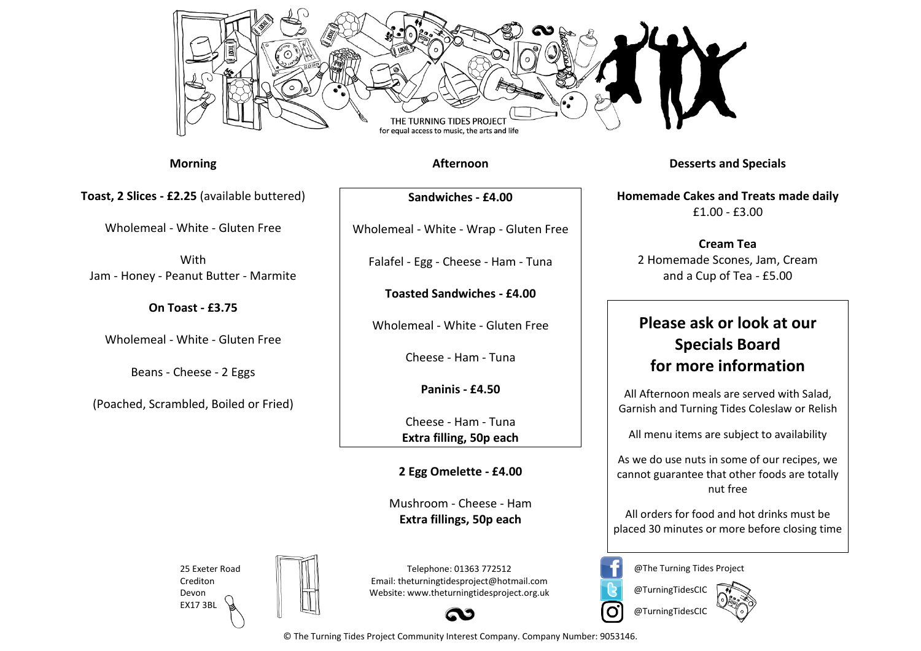

**Morning**

**Toast, 2 Slices - £2.25** (available buttered)

Wholemeal - White - Gluten Free

With Jam - Honey - Peanut Butter - Marmite

**On Toast - £3.75**

Wholemeal - White - Gluten Free

Beans - Cheese - 2 Eggs

(Poached, Scrambled, Boiled or Fried)

**Afternoon**

**Sandwiches - £4.00**

Wholemeal - White - Wrap - Gluten Free

Falafel - Egg - Cheese - Ham - Tuna

**Toasted Sandwiches - £4.00**

Wholemeal - White - Gluten Free

Cheese - Ham - Tuna

**Paninis - £4.50**

Cheese - Ham - Tuna **Extra filling, 50p each**

**2 Egg Omelette - £4.00**

Mushroom - Cheese - Ham **Extra fillings, 50p each**

25 Exeter Road Crediton Devon EX17 3BL



Telephone: 01363 772512 Email: theturningtidesproject@hotmail.com Website: www.theturningtidesproject.org.uk



**Desserts and Specials**

**Homemade Cakes and Treats made daily**  £1.00 - £3.00

**Cream Tea** 2 Homemade Scones, Jam, Cream and a Cup of Tea - £5.00

## **Please ask or look at our Specials Board for more information**

All Afternoon meals are served with Salad, Garnish and Turning Tides Coleslaw or Relish

All menu items are subject to availability

As we do use nuts in some of our recipes, we cannot guarantee that other foods are totally nut free

All orders for food and hot drinks must be placed 30 minutes or more before closing time

@The Turning Tides Project



O

© The Turning Tides Project Community Interest Company. Company Number: 9053146.